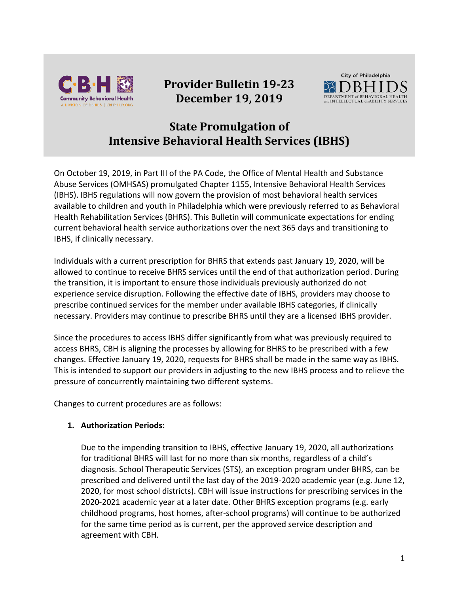

# **Provider Bulletin 19-23 December 19, 2019**



## **State Promulgation of Intensive Behavioral Health Services (IBHS)**

On October 19, 2019, in Part III of the PA Code, the Office of Mental Health and Substance Abuse Services (OMHSAS) promulgated Chapter 1155, Intensive Behavioral Health Services (IBHS). IBHS regulations will now govern the provision of most behavioral health services available to children and youth in Philadelphia which were previously referred to as Behavioral Health Rehabilitation Services (BHRS). This Bulletin will communicate expectations for ending current behavioral health service authorizations over the next 365 days and transitioning to IBHS, if clinically necessary.

Individuals with a current prescription for BHRS that extends past January 19, 2020, will be allowed to continue to receive BHRS services until the end of that authorization period. During the transition, it is important to ensure those individuals previously authorized do not experience service disruption. Following the effective date of IBHS, providers may choose to prescribe continued services for the member under available IBHS categories, if clinically necessary. Providers may continue to prescribe BHRS until they are a licensed IBHS provider.

Since the procedures to access IBHS differ significantly from what was previously required to access BHRS, CBH is aligning the processes by allowing for BHRS to be prescribed with a few changes. Effective January 19, 2020, requests for BHRS shall be made in the same way as IBHS. This is intended to support our providers in adjusting to the new IBHS process and to relieve the pressure of concurrently maintaining two different systems.

Changes to current procedures are as follows:

### **1. Authorization Periods:**

Due to the impending transition to IBHS, effective January 19, 2020, all authorizations for traditional BHRS will last for no more than six months, regardless of a child's diagnosis. School Therapeutic Services (STS), an exception program under BHRS, can be prescribed and delivered until the last day of the 2019-2020 academic year (e.g. June 12, 2020, for most school districts). CBH will issue instructions for prescribing services in the 2020-2021 academic year at a later date. Other BHRS exception programs (e.g. early childhood programs, host homes, after-school programs) will continue to be authorized for the same time period as is current, per the approved service description and agreement with CBH.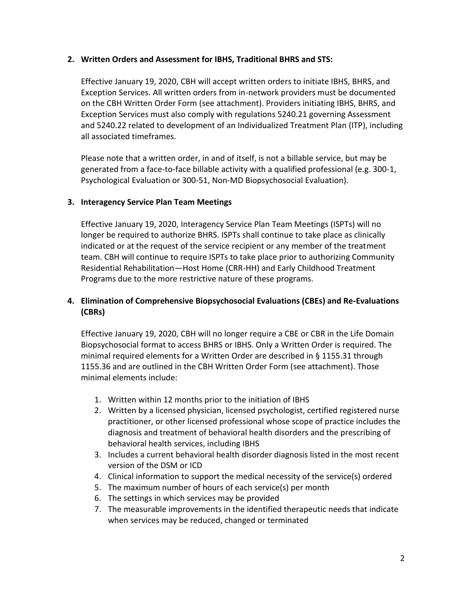#### **2. Written Orders and Assessment for IBHS, Traditional BHRS and STS:**

Effective January 19, 2020, CBH will accept written orders to initiate IBHS, BHRS, and Exception Services. All written orders from in-network providers must be documented on the CBH Written Order Form (see attachment). Providers initiating IBHS, BHRS, and Exception Services must also comply with regulations 5240.21 governing Assessment and 5240.22 related to development of an Individualized Treatment Plan (ITP), including all associated timeframes.

Please note that a written order, in and of itself, is not a billable service, but may be generated from a face-to-face billable activity with a qualified professional (e.g. 300-1, Psychological Evaluation or 300-51, Non-MD Biopsychosocial Evaluation).

#### **3. Interagency Service Plan Team Meetings**

Effective January 19, 2020, Interagency Service Plan Team Meetings (ISPTs) will no longer be required to authorize BHRS. ISPTs shall continue to take place as clinically indicated or at the request of the service recipient or any member of the treatment team. CBH will continue to require ISPTs to take place prior to authorizing Community Residential Rehabilitation—Host Home (CRR-HH) and Early Childhood Treatment Programs due to the more restrictive nature of these programs.

### **4. Elimination of Comprehensive Biopsychosocial Evaluations (CBEs) and Re-Evaluations (CBRs)**

Effective January 19, 2020, CBH will no longer require a CBE or CBR in the Life Domain Biopsychosocial format to access BHRS or IBHS. Only a Written Order is required. The minimal required elements for a Written Order are described in § 1155.31 through 1155.36 and are outlined in the CBH Written Order Form (see attachment). Those minimal elements include:

- 1. Written within 12 months prior to the initiation of IBHS
- 2. Written by a licensed physician, licensed psychologist, certified registered nurse practitioner, or other licensed professional whose scope of practice includes the diagnosis and treatment of behavioral health disorders and the prescribing of behavioral health services, including IBHS
- 3. Includes a current behavioral health disorder diagnosis listed in the most recent version of the DSM or ICD
- 4. Clinical information to support the medical necessity of the service(s) ordered
- 5. The maximum number of hours of each service(s) per month
- 6. The settings in which services may be provided
- 7. The measurable improvements in the identified therapeutic needs that indicate when services may be reduced, changed or terminated